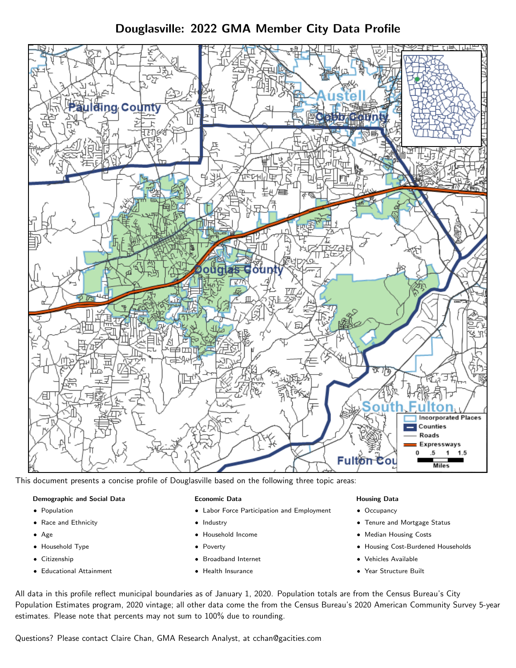# Douglasville: 2022 GMA Member City Data Profile



This document presents a concise profile of Douglasville based on the following three topic areas:

### Demographic and Social Data

- **•** Population
- Race and Ethnicity
- Age
- Household Type
- **Citizenship**
- Educational Attainment

### Economic Data

- Labor Force Participation and Employment
- Industry
- Household Income
- Poverty
- Broadband Internet
- Health Insurance

### Housing Data

- Occupancy
- Tenure and Mortgage Status
- Median Housing Costs
- Housing Cost-Burdened Households
- Vehicles Available
- Year Structure Built

All data in this profile reflect municipal boundaries as of January 1, 2020. Population totals are from the Census Bureau's City Population Estimates program, 2020 vintage; all other data come the from the Census Bureau's 2020 American Community Survey 5-year estimates. Please note that percents may not sum to 100% due to rounding.

Questions? Please contact Claire Chan, GMA Research Analyst, at [cchan@gacities.com.](mailto:cchan@gacities.com)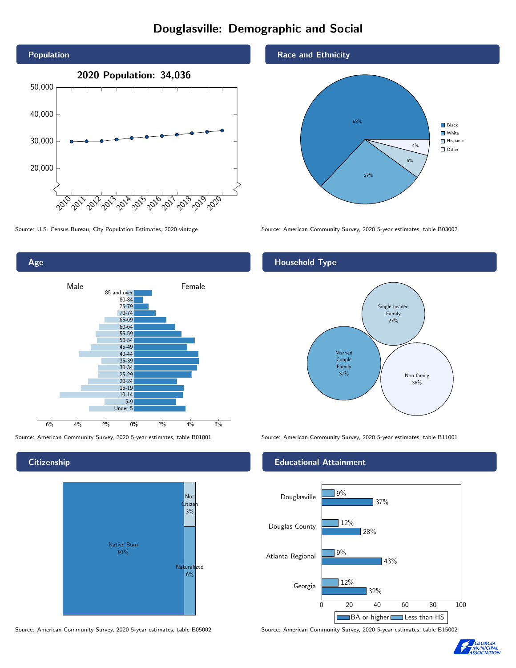# Douglasville: Demographic and Social





**Citizenship** 



Source: American Community Survey, 2020 5-year estimates, table B05002 Source: American Community Survey, 2020 5-year estimates, table B15002

Race and Ethnicity



Source: U.S. Census Bureau, City Population Estimates, 2020 vintage Source: American Community Survey, 2020 5-year estimates, table B03002

### Household Type



Source: American Community Survey, 2020 5-year estimates, table B01001 Source: American Community Survey, 2020 5-year estimates, table B11001

### Educational Attainment



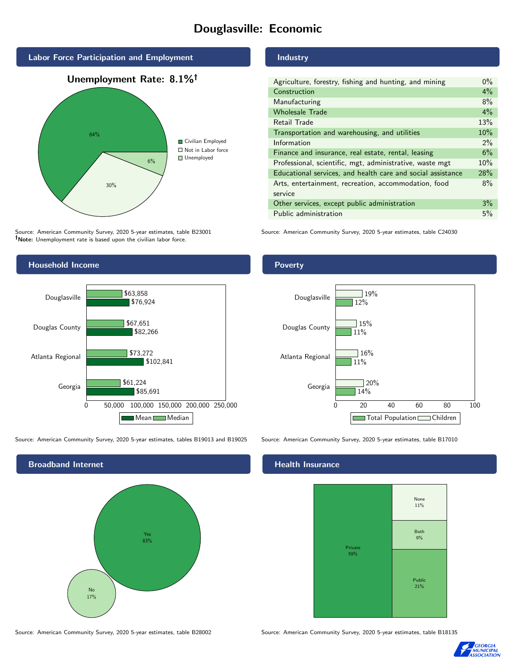# Douglasville: Economic





Source: American Community Survey, 2020 5-year estimates, table B23001 Note: Unemployment rate is based upon the civilian labor force.

## Household Income 0 50,000 100,000 150,000 200,000 250,000 Georgia Atlanta Regional Douglas County Douglasville \$85,691 \$102,841 \$82,266 \$76,924 \$61,224 \$73,272 \$67,651 \$63,858 Mean Median

Source: American Community Survey, 2020 5-year estimates, tables B19013 and B19025 Source: American Community Survey, 2020 5-year estimates, table B17010



### Industry

| Agriculture, forestry, fishing and hunting, and mining      | $0\%$ |
|-------------------------------------------------------------|-------|
| Construction                                                | $4\%$ |
| Manufacturing                                               | 8%    |
| <b>Wholesale Trade</b>                                      | 4%    |
| Retail Trade                                                | 13%   |
| Transportation and warehousing, and utilities               | 10%   |
| Information                                                 | $2\%$ |
| Finance and insurance, real estate, rental, leasing         | 6%    |
| Professional, scientific, mgt, administrative, waste mgt    | 10%   |
| Educational services, and health care and social assistance | 28%   |
| Arts, entertainment, recreation, accommodation, food        | 8%    |
| service                                                     |       |
| Other services, except public administration                | 3%    |
| Public administration                                       | 5%    |

Source: American Community Survey, 2020 5-year estimates, table C24030

## **Poverty**



#### Health Insurance



Source: American Community Survey, 2020 5-year estimates, table B28002 Source: American Community Survey, 2020 5-year estimates, table B18135